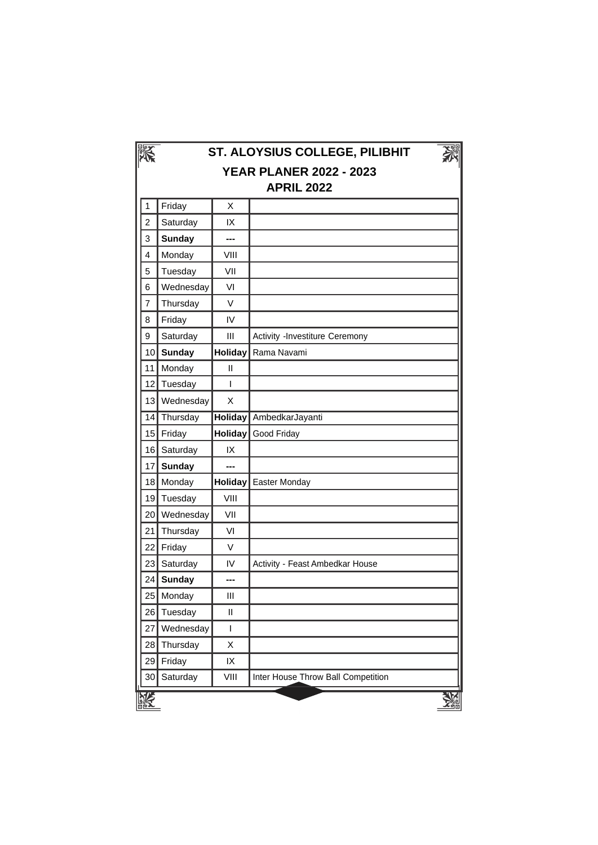|                 |               |                                    | ST. ALOYSIUS COLLEGE, PILIBHIT<br><b>YEAR PLANER 2022 - 2023</b><br><b>APRIL 2022</b> |
|-----------------|---------------|------------------------------------|---------------------------------------------------------------------------------------|
| 1               | Friday        | X                                  |                                                                                       |
| $\overline{c}$  | Saturday      | IX                                 |                                                                                       |
| 3               | <b>Sunday</b> | ---                                |                                                                                       |
| $\overline{4}$  | Monday        | VIII                               |                                                                                       |
| 5               | Tuesday       | VII                                |                                                                                       |
| 6               | Wednesday     | VI                                 |                                                                                       |
| $\overline{7}$  | Thursday      | V                                  |                                                                                       |
| 8               | Friday        | IV                                 |                                                                                       |
| 9               | Saturday      | Ш                                  | Activity -Investiture Ceremony                                                        |
| 10 <sup>1</sup> | <b>Sunday</b> | <b>Holiday</b>                     | Rama Navami                                                                           |
| 11              | Monday        | Ш                                  |                                                                                       |
| 12              | Tuesday       | L                                  |                                                                                       |
|                 | 13 Wednesday  | X                                  |                                                                                       |
|                 | 14 Thursday   | <b>Holiday</b>                     | AmbedkarJayanti                                                                       |
|                 | 15 Friday     | <b>Holiday</b>                     | Good Friday                                                                           |
|                 | 16 Saturday   | IX                                 |                                                                                       |
| 17              | <b>Sunday</b> | ---                                |                                                                                       |
| 18              | Monday        | <b>Holiday</b>                     | Easter Monday                                                                         |
| 19              | Tuesday       | VIII                               |                                                                                       |
| 20              | Wednesday     | VII                                |                                                                                       |
| 21              | Thursday      | VI                                 |                                                                                       |
| 22              | Friday        | V                                  |                                                                                       |
| 23              | Saturday      | IV                                 | Activity - Feast Ambedkar House                                                       |
| 24              | <b>Sunday</b> | ---                                |                                                                                       |
| 25              | Monday        | $\ensuremath{\mathsf{III}}\xspace$ |                                                                                       |
| 26              | Tuesday       | $\sf II$                           |                                                                                       |
| 27              | Wednesday     | $\mathsf I$                        |                                                                                       |
| 28              | Thursday      | Χ                                  |                                                                                       |
| 29              | Friday        | IX                                 |                                                                                       |
|                 |               | VIII                               | Inter House Throw Ball Competition                                                    |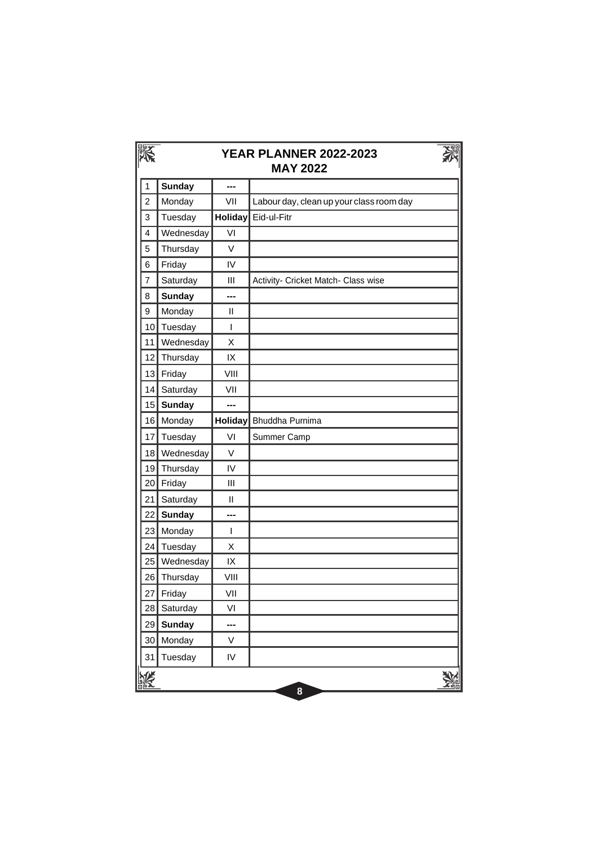|                | <b>YEAR PLANNER 2022-2023</b><br><b>MAY 2022</b> |               |                                          |  |  |
|----------------|--------------------------------------------------|---------------|------------------------------------------|--|--|
| 1              | <b>Sunday</b>                                    | ---           |                                          |  |  |
| $\overline{2}$ | Monday                                           | VII           | Labour day, clean up your class room day |  |  |
| 3              | Tuesday                                          | Holiday       | Eid-ul-Fitr                              |  |  |
| 4              | Wednesday                                        | VI            |                                          |  |  |
| 5              | Thursday                                         | V             |                                          |  |  |
| 6              | Friday                                           | IV            |                                          |  |  |
| $\overline{7}$ | Saturday                                         | III           | Activity- Cricket Match- Class wise      |  |  |
| 8              | <b>Sunday</b>                                    | ---           |                                          |  |  |
| 9              | Monday                                           | $\mathsf{II}$ |                                          |  |  |
| 10             | Tuesday                                          | I             |                                          |  |  |
| 11             | Wednesday                                        | X             |                                          |  |  |
| 12             | Thursday                                         | IX            |                                          |  |  |
| 13             | Friday                                           | VIII          |                                          |  |  |
| 14             | Saturday                                         | VII           |                                          |  |  |
| 15             | <b>Sunday</b>                                    | ---           |                                          |  |  |
| 16             | Monday                                           | Holiday       | Bhuddha Purnima                          |  |  |
| 17             | Tuesday                                          | VI            | Summer Camp                              |  |  |
| 18             | Wednesday                                        | V             |                                          |  |  |
| 19             | Thursday                                         | IV            |                                          |  |  |
| 20             | Friday                                           | III           |                                          |  |  |
| 21             | Saturday                                         | $\mathbf{H}$  |                                          |  |  |
| 22             | <b>Sunday</b>                                    | ---           |                                          |  |  |
| 23             | Monday                                           | T             |                                          |  |  |
| 24             | Tuesday                                          | X             |                                          |  |  |
| 25             | Wednesday                                        | IX            |                                          |  |  |
| 26             | Thursday                                         | VIII          |                                          |  |  |
| 27             | Friday                                           | VII           |                                          |  |  |
| 28             | Saturday                                         | VI            |                                          |  |  |
| 29             | <b>Sunday</b>                                    | ---           |                                          |  |  |
| 30             | Monday                                           | V             |                                          |  |  |
| 31             | Tuesday                                          | IV            |                                          |  |  |
|                |                                                  |               | 8                                        |  |  |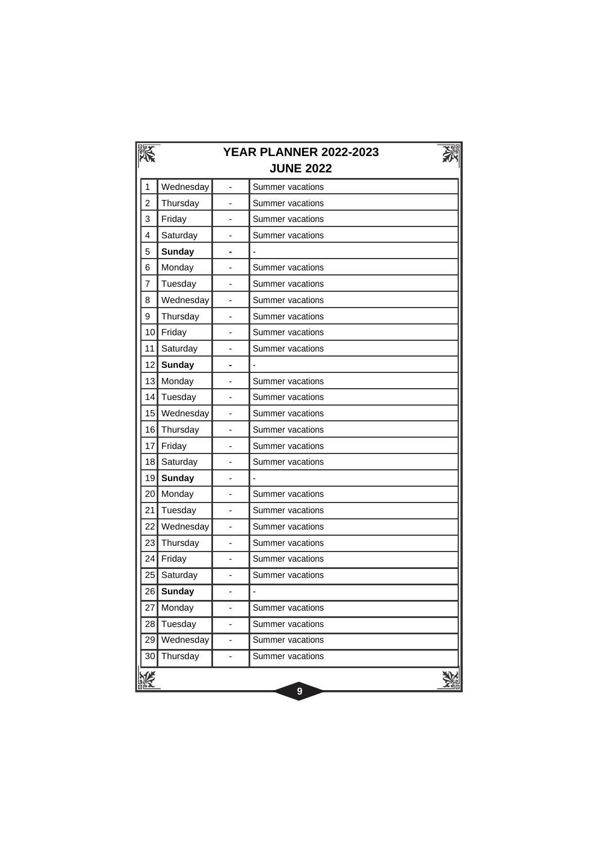|                | <b>YEAR PLANNER 2022-2023</b><br><b>JUNE 2022</b> |                              |                          |  |  |  |
|----------------|---------------------------------------------------|------------------------------|--------------------------|--|--|--|
| 1              | Wednesday                                         |                              | Summer vacations         |  |  |  |
| $\overline{2}$ | Thursday                                          | $\overline{a}$               | Summer vacations         |  |  |  |
| 3              | Friday                                            |                              | Summer vacations         |  |  |  |
| 4              | Saturday                                          |                              | Summer vacations         |  |  |  |
| 5              | <b>Sunday</b>                                     |                              |                          |  |  |  |
| 6              | Monday                                            |                              | <b>Summer vacations</b>  |  |  |  |
| 7              | Tuesday                                           |                              | Summer vacations         |  |  |  |
| 8              | Wednesday                                         |                              | Summer vacations         |  |  |  |
| 9              | Thursday                                          | ÷,                           | Summer vacations         |  |  |  |
| 10             | Friday                                            |                              | Summer vacations         |  |  |  |
| 11             | Saturday                                          |                              | Summer vacations         |  |  |  |
| 12             | <b>Sunday</b>                                     |                              |                          |  |  |  |
| 13             | Monday                                            |                              | Summer vacations         |  |  |  |
| 14             | Tuesday                                           |                              | Summer vacations         |  |  |  |
| 15             | Wednesday                                         | $\overline{\phantom{a}}$     | Summer vacations         |  |  |  |
| 16             | Thursday                                          |                              | Summer vacations         |  |  |  |
| 17             | Friday                                            |                              | Summer vacations         |  |  |  |
| 18             | Saturday                                          | ÷,                           | Summer vacations         |  |  |  |
| 19             | <b>Sunday</b>                                     | ä,                           | $\overline{\phantom{a}}$ |  |  |  |
| 20             | Monday                                            |                              | Summer vacations         |  |  |  |
| 21             | Tuesday                                           |                              | Summer vacations         |  |  |  |
| 22             | Wednesday                                         | $\qquad \qquad \blacksquare$ | Summer vacations         |  |  |  |
| 23             | Thursday                                          |                              | Summer vacations         |  |  |  |
| 24             | Friday                                            |                              | Summer vacations         |  |  |  |
| 25             | Saturday                                          | $\overline{a}$               | Summer vacations         |  |  |  |
| 26             | <b>Sunday</b>                                     |                              |                          |  |  |  |
| 27             | Monday                                            |                              | Summer vacations         |  |  |  |
| 28             | Tuesday                                           | -                            | Summer vacations         |  |  |  |
| 29             | Wednesday                                         | -                            | Summer vacations         |  |  |  |
| 30             | Thursday                                          |                              | Summer vacations         |  |  |  |
|                |                                                   |                              | 9                        |  |  |  |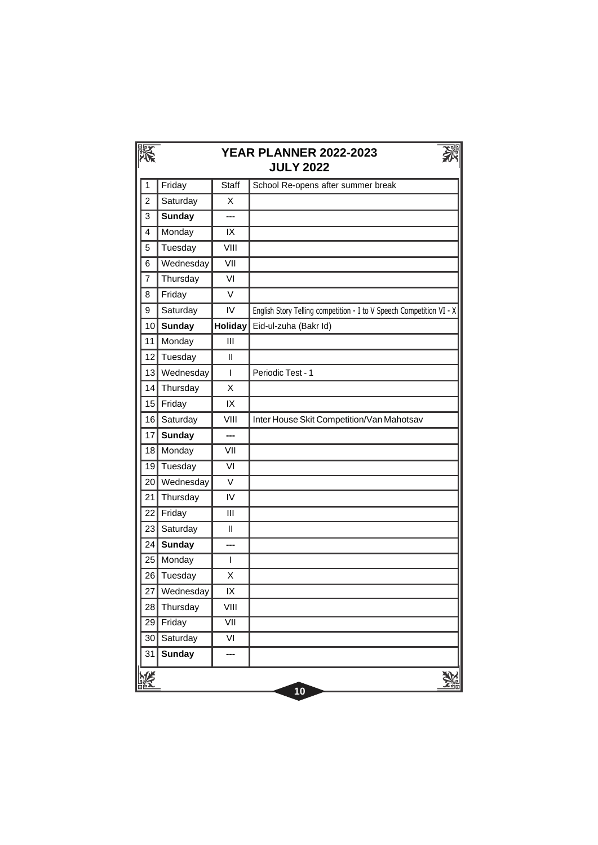|                 | <b>YEAR PLANNER 2022-2023</b><br><b>JULY 2022</b> |                          |                                                                      |  |  |
|-----------------|---------------------------------------------------|--------------------------|----------------------------------------------------------------------|--|--|
| 1               | Friday                                            | Staff                    | School Re-opens after summer break                                   |  |  |
| $\overline{2}$  | Saturday                                          | X                        |                                                                      |  |  |
| 3               | <b>Sunday</b>                                     | ---                      |                                                                      |  |  |
| 4               | Monday                                            | IX                       |                                                                      |  |  |
| 5               | Tuesday                                           | VIII                     |                                                                      |  |  |
| 6               | Wednesday                                         | $\overline{\text{V}}$    |                                                                      |  |  |
| $\overline{7}$  | Thursday                                          | VI                       |                                                                      |  |  |
| 8               | Friday                                            | $\vee$                   |                                                                      |  |  |
| 9               | Saturday                                          | IV                       | English Story Telling competition - I to V Speech Competition VI - X |  |  |
| 10              | <b>Sunday</b>                                     | <b>Holiday</b>           | Eid-ul-zuha (Bakr Id)                                                |  |  |
| 11              | Monday                                            | III                      |                                                                      |  |  |
| 12              | Tuesday                                           | $\mathbf{I}$             |                                                                      |  |  |
| 13              | Wednesday                                         | $\mathbf{I}$             | Periodic Test - 1                                                    |  |  |
| 14              | Thursday                                          | X                        |                                                                      |  |  |
| 15              | Friday                                            | IX                       |                                                                      |  |  |
| 16              | Saturday                                          | VIII                     | Inter House Skit Competition/Van Mahotsav                            |  |  |
| 17              | <b>Sunday</b>                                     | ---                      |                                                                      |  |  |
| 18              | Monday                                            | VII                      |                                                                      |  |  |
| 19              | Tuesday                                           | $\overline{\mathsf{VI}}$ |                                                                      |  |  |
| 20              | Wednesday                                         | $\vee$                   |                                                                      |  |  |
| 21              | Thursday                                          | IV                       |                                                                      |  |  |
| 22              | Friday                                            | III                      |                                                                      |  |  |
| 23              | Saturday                                          | $\mathbf{I}$             |                                                                      |  |  |
| 24              | <b>Sunday</b>                                     | ---                      |                                                                      |  |  |
| 25              | Monday                                            | T                        |                                                                      |  |  |
| 26              | Tuesday                                           | X                        |                                                                      |  |  |
|                 | 27 Wednesday                                      | IX                       |                                                                      |  |  |
| 28              | Thursday                                          | VIII                     |                                                                      |  |  |
| $\overline{29}$ | Friday                                            | $\overline{\text{VII}}$  |                                                                      |  |  |
| 30              | Saturday                                          | VI                       |                                                                      |  |  |
| 31              | <b>Sunday</b>                                     | ---                      |                                                                      |  |  |
|                 |                                                   |                          | 10                                                                   |  |  |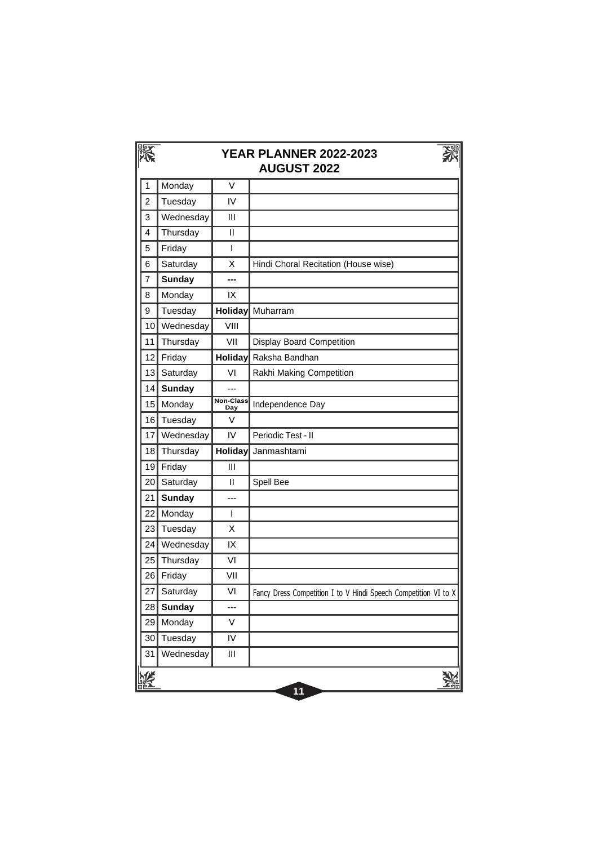|                | <b>YEAR PLANNER 2022-2023</b><br><b>AUGUST 2022</b> |                  |                                                                 |  |  |
|----------------|-----------------------------------------------------|------------------|-----------------------------------------------------------------|--|--|
| 1              | Monday                                              | V                |                                                                 |  |  |
| $\overline{2}$ | Tuesday                                             | IV               |                                                                 |  |  |
| 3              | Wednesday                                           | Ш                |                                                                 |  |  |
| 4              | Thursday                                            | Ш                |                                                                 |  |  |
| 5              | Friday                                              | $\overline{1}$   |                                                                 |  |  |
| 6              | Saturday                                            | X                | Hindi Choral Recitation (House wise)                            |  |  |
| 7              | <b>Sunday</b>                                       | ---              |                                                                 |  |  |
| 8              | Monday                                              | IX               |                                                                 |  |  |
| 9              | Tuesday                                             | Holiday          | Muharram                                                        |  |  |
| 10             | Wednesday                                           | VIII             |                                                                 |  |  |
| 11             | Thursday                                            | VII              | Display Board Competition                                       |  |  |
| 12             | Friday                                              | <b>Holiday</b>   | Raksha Bandhan                                                  |  |  |
| 13             | Saturday                                            | VI               | Rakhi Making Competition                                        |  |  |
| 14             | <b>Sunday</b>                                       | ---              |                                                                 |  |  |
| 15             | Monday                                              | Non-Class<br>Day | Independence Day                                                |  |  |
| 16             | Tuesday                                             | V                |                                                                 |  |  |
| 17             | Wednesday                                           | IV               | Periodic Test - II                                              |  |  |
| 18             | Thursday                                            | Holiday          | Janmashtami                                                     |  |  |
| 19             | Friday                                              | Ш                |                                                                 |  |  |
| 20             | Saturday                                            | $\mathbf{I}$     | Spell Bee                                                       |  |  |
| 21             | <b>Sunday</b>                                       | ---              |                                                                 |  |  |
| 22             | Monday                                              | $\mathsf{I}$     |                                                                 |  |  |
| 23             | Tuesday                                             | X                |                                                                 |  |  |
| 24             | Wednesday                                           | IX               |                                                                 |  |  |
| 25             | Thursday                                            | VI               |                                                                 |  |  |
| 26             | Friday                                              | VII              |                                                                 |  |  |
| 27             | Saturday                                            | VI               | Fancy Dress Competition I to V Hindi Speech Competition VI to X |  |  |
| 28             | <b>Sunday</b>                                       | ---              |                                                                 |  |  |
| 29             | Monday                                              | V                |                                                                 |  |  |
| 30             | Tuesday                                             | IV               |                                                                 |  |  |
| 31             | Wednesday                                           | Ш                |                                                                 |  |  |
|                |                                                     |                  | 11                                                              |  |  |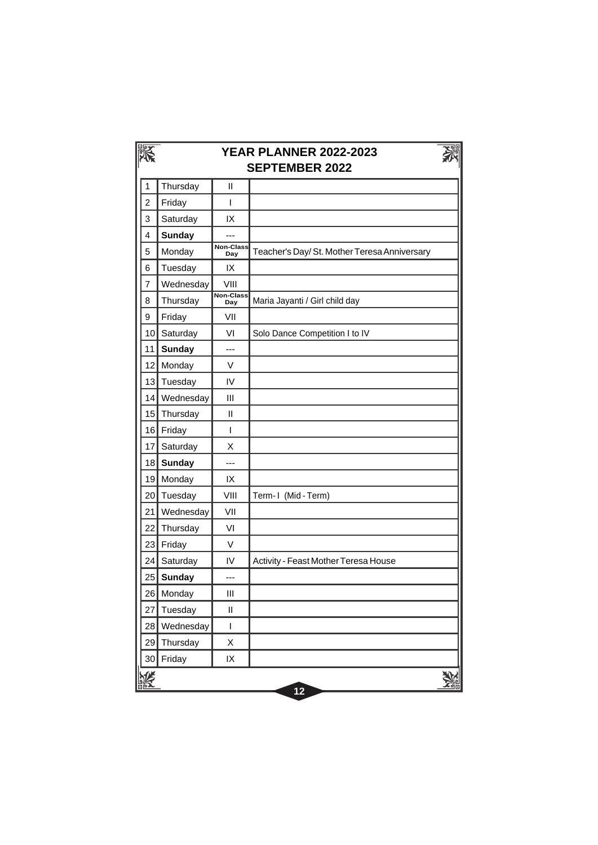|                | <b>YEAR PLANNER 2022-2023</b><br><b>SEPTEMBER 2022</b> |                                                                                                                                                                                                                                                                                                                                                                                  |                                             |  |  |
|----------------|--------------------------------------------------------|----------------------------------------------------------------------------------------------------------------------------------------------------------------------------------------------------------------------------------------------------------------------------------------------------------------------------------------------------------------------------------|---------------------------------------------|--|--|
| 1              | Thursday                                               | Ш                                                                                                                                                                                                                                                                                                                                                                                |                                             |  |  |
| $\overline{c}$ | Friday                                                 | T                                                                                                                                                                                                                                                                                                                                                                                |                                             |  |  |
| 3              | Saturday                                               | IX                                                                                                                                                                                                                                                                                                                                                                               |                                             |  |  |
| 4              | <b>Sunday</b>                                          |                                                                                                                                                                                                                                                                                                                                                                                  |                                             |  |  |
| 5              | Monday                                                 | Non-Class<br>Day                                                                                                                                                                                                                                                                                                                                                                 | Teacher's Day/St. Mother Teresa Anniversary |  |  |
| 6              | Tuesday                                                | IX                                                                                                                                                                                                                                                                                                                                                                               |                                             |  |  |
| $\overline{7}$ | Wednesday                                              | VIII                                                                                                                                                                                                                                                                                                                                                                             |                                             |  |  |
| 8              | Thursday                                               | <b>Non-Class</b><br>Day                                                                                                                                                                                                                                                                                                                                                          | Maria Jayanti / Girl child day              |  |  |
| 9              | Friday                                                 | VII                                                                                                                                                                                                                                                                                                                                                                              |                                             |  |  |
| 10             | Saturday                                               | VI                                                                                                                                                                                                                                                                                                                                                                               | Solo Dance Competition I to IV              |  |  |
| 11             | <b>Sunday</b>                                          | ---                                                                                                                                                                                                                                                                                                                                                                              |                                             |  |  |
| 12             | Monday                                                 | V                                                                                                                                                                                                                                                                                                                                                                                |                                             |  |  |
| 13             | Tuesday                                                | IV                                                                                                                                                                                                                                                                                                                                                                               |                                             |  |  |
| 14             | Wednesday                                              | Ш                                                                                                                                                                                                                                                                                                                                                                                |                                             |  |  |
| 15             | Thursday                                               | $\mathsf{I}$                                                                                                                                                                                                                                                                                                                                                                     |                                             |  |  |
| 16             | Friday                                                 | T                                                                                                                                                                                                                                                                                                                                                                                |                                             |  |  |
| 17             | Saturday                                               | X                                                                                                                                                                                                                                                                                                                                                                                |                                             |  |  |
| 18             | <b>Sunday</b>                                          | ---                                                                                                                                                                                                                                                                                                                                                                              |                                             |  |  |
| 19             | Monday                                                 | IX                                                                                                                                                                                                                                                                                                                                                                               |                                             |  |  |
| 20             | Tuesday                                                | VIII                                                                                                                                                                                                                                                                                                                                                                             | Term-1 (Mid-Term)                           |  |  |
| 21             | Wednesday                                              | VII                                                                                                                                                                                                                                                                                                                                                                              |                                             |  |  |
| 22             | Thursday                                               | VI                                                                                                                                                                                                                                                                                                                                                                               |                                             |  |  |
| 23             | Friday                                                 | V                                                                                                                                                                                                                                                                                                                                                                                |                                             |  |  |
| 24             | Saturday                                               | IV                                                                                                                                                                                                                                                                                                                                                                               | Activity - Feast Mother Teresa House        |  |  |
| 25             | <b>Sunday</b>                                          |                                                                                                                                                                                                                                                                                                                                                                                  |                                             |  |  |
| 26             | Monday                                                 | $\mathsf{III}$                                                                                                                                                                                                                                                                                                                                                                   |                                             |  |  |
| 27             | Tuesday                                                | $\sf II$                                                                                                                                                                                                                                                                                                                                                                         |                                             |  |  |
| 28             | Wednesday                                              | $\begin{array}{c} \rule{0pt}{2.5ex} \rule{0pt}{2.5ex} \rule{0pt}{2.5ex} \rule{0pt}{2.5ex} \rule{0pt}{2.5ex} \rule{0pt}{2.5ex} \rule{0pt}{2.5ex} \rule{0pt}{2.5ex} \rule{0pt}{2.5ex} \rule{0pt}{2.5ex} \rule{0pt}{2.5ex} \rule{0pt}{2.5ex} \rule{0pt}{2.5ex} \rule{0pt}{2.5ex} \rule{0pt}{2.5ex} \rule{0pt}{2.5ex} \rule{0pt}{2.5ex} \rule{0pt}{2.5ex} \rule{0pt}{2.5ex} \rule{0$ |                                             |  |  |
| 29             | Thursday                                               | Χ                                                                                                                                                                                                                                                                                                                                                                                |                                             |  |  |
| 30             | Friday                                                 | IX                                                                                                                                                                                                                                                                                                                                                                               |                                             |  |  |
|                |                                                        |                                                                                                                                                                                                                                                                                                                                                                                  | 12                                          |  |  |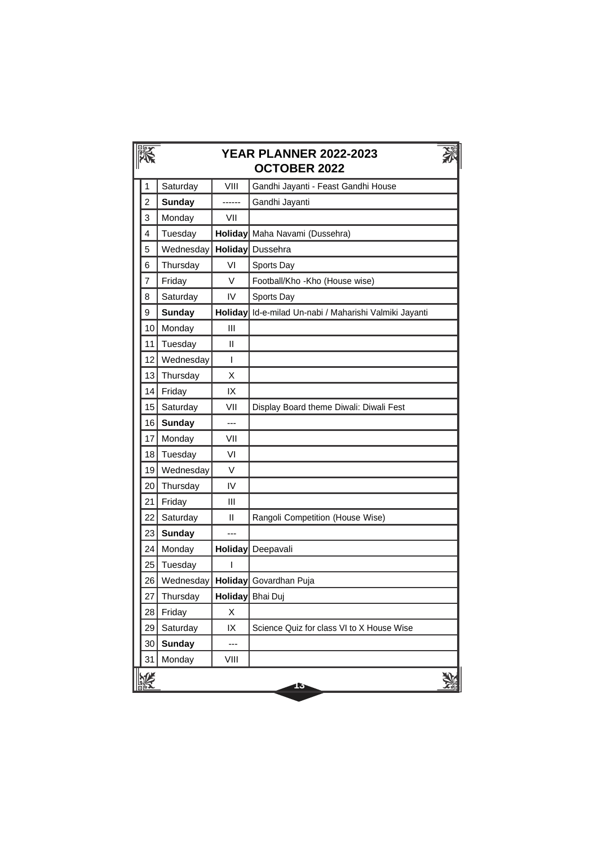|                | <b>YEAR PLANNER 2022-2023</b><br><b>OCTOBER 2022</b> |                |                                                |  |  |
|----------------|------------------------------------------------------|----------------|------------------------------------------------|--|--|
| 1              | Saturday                                             | VIII           | Gandhi Jayanti - Feast Gandhi House            |  |  |
| $\overline{2}$ | <b>Sunday</b>                                        | ------         | Gandhi Jayanti                                 |  |  |
| 3              | Monday                                               | VII            |                                                |  |  |
| 4              | Tuesday                                              | <b>Holiday</b> | Maha Navami (Dussehra)                         |  |  |
| 5              | Wednesday                                            | <b>Holiday</b> | Dussehra                                       |  |  |
| 6              | Thursday                                             | VI             | Sports Day                                     |  |  |
| 7              | Friday                                               | V              | Football/Kho -Kho (House wise)                 |  |  |
| 8              | Saturday                                             | IV             | Sports Day                                     |  |  |
| 9              | <b>Sunday</b>                                        | <b>Holiday</b> | Id-e-milad Un-nabi / Maharishi Valmiki Jayanti |  |  |
| 10             | Monday                                               | III            |                                                |  |  |
| 11             | Tuesday                                              | Ш              |                                                |  |  |
| 12             | Wednesday                                            | T              |                                                |  |  |
| 13             | Thursday                                             | х              |                                                |  |  |
| 14             | Friday                                               | IX             |                                                |  |  |
| 15             | Saturday                                             | VII            | Display Board theme Diwali: Diwali Fest        |  |  |
| 16             | <b>Sunday</b>                                        | ---            |                                                |  |  |
| 17             | Monday                                               | VII            |                                                |  |  |
| 18             | Tuesday                                              | VI             |                                                |  |  |
| 19             | Wednesday                                            | V              |                                                |  |  |
| 20             | Thursday                                             | IV             |                                                |  |  |
| 21             | Friday                                               | Ш              |                                                |  |  |
| 22             | Saturday                                             | Ш              | Rangoli Competition (House Wise)               |  |  |
| 23             | <b>Sunday</b>                                        | ---            |                                                |  |  |
| 24             | Monday                                               | <b>Holiday</b> | Deepavali                                      |  |  |
| 25             | Tuesday                                              | ı              |                                                |  |  |
| 26             | Wednesday                                            |                | Holiday Govardhan Puja                         |  |  |
| 27             | Thursday                                             |                | Holiday Bhai Duj                               |  |  |
| 28             | Friday                                               | Χ              |                                                |  |  |
| 29             | Saturday                                             | IX             | Science Quiz for class VI to X House Wise      |  |  |
| 30             | <b>Sunday</b>                                        | ---            |                                                |  |  |
| 31             | Monday                                               | VIII           |                                                |  |  |
|                |                                                      |                | 15                                             |  |  |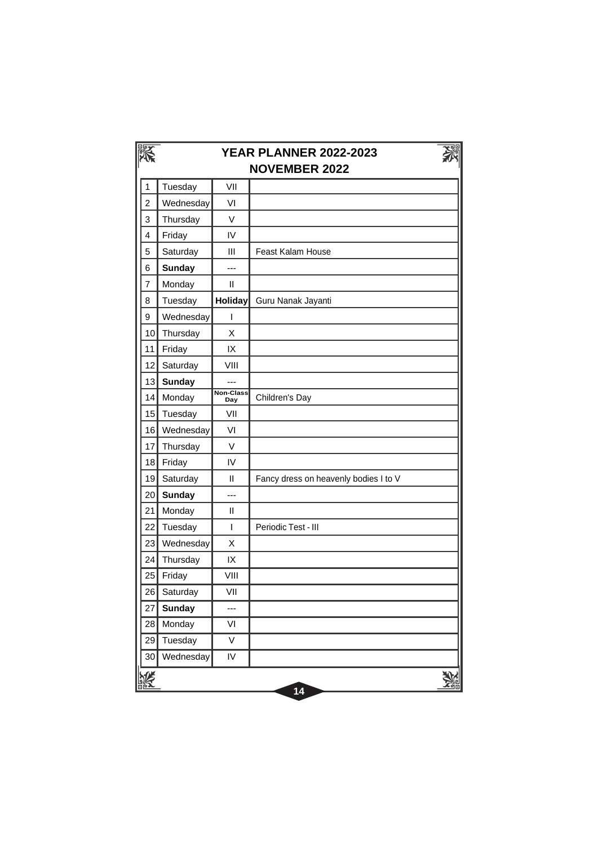|                | <b>YEAR PLANNER 2022-2023</b><br><b>NOVEMBER 2022</b> |                         |                                       |  |  |  |
|----------------|-------------------------------------------------------|-------------------------|---------------------------------------|--|--|--|
| 1              | Tuesday                                               | VII                     |                                       |  |  |  |
| $\overline{c}$ | Wednesday                                             | VI                      |                                       |  |  |  |
| 3              | Thursday                                              | V                       |                                       |  |  |  |
| 4              | Friday                                                | IV                      |                                       |  |  |  |
| 5              | Saturday                                              | III                     | Feast Kalam House                     |  |  |  |
| 6              | <b>Sunday</b>                                         | ---                     |                                       |  |  |  |
| $\overline{7}$ | Monday                                                | Ш                       |                                       |  |  |  |
| 8              | Tuesday                                               | <b>Holiday</b>          | Guru Nanak Jayanti                    |  |  |  |
| 9              | Wednesday                                             | I                       |                                       |  |  |  |
| 10             | Thursday                                              | X                       |                                       |  |  |  |
| 11             | Friday                                                | IX                      |                                       |  |  |  |
| 12             | Saturday                                              | VIII                    |                                       |  |  |  |
| 13             | <b>Sunday</b>                                         | $\overline{a}$          |                                       |  |  |  |
| 14             | Monday                                                | <b>Non-Class</b><br>Day | Children's Day                        |  |  |  |
| 15             | Tuesday                                               | VII                     |                                       |  |  |  |
| 16             | Wednesday                                             | VI                      |                                       |  |  |  |
| 17             | Thursday                                              | $\vee$                  |                                       |  |  |  |
| 18             | Friday                                                | IV                      |                                       |  |  |  |
| 19             | Saturday                                              | Ш                       | Fancy dress on heavenly bodies I to V |  |  |  |
| 20             | <b>Sunday</b>                                         | ---                     |                                       |  |  |  |
| 21             | Monday                                                | $\mathsf{II}$           |                                       |  |  |  |
| 22             | Tuesday                                               | T                       | Periodic Test - III                   |  |  |  |
| 23             | Wednesday                                             | X                       |                                       |  |  |  |
| 24             | Thursday                                              | IX                      |                                       |  |  |  |
| 25             | Friday                                                | VIII                    |                                       |  |  |  |
| 26             | Saturday                                              | VII                     |                                       |  |  |  |
| 27             | <b>Sunday</b>                                         | ---                     |                                       |  |  |  |
| 28             | Monday                                                | VI                      |                                       |  |  |  |
| 29             | Tuesday                                               | V                       |                                       |  |  |  |
| 30             | Wednesday                                             | IV                      |                                       |  |  |  |
|                |                                                       |                         | 14                                    |  |  |  |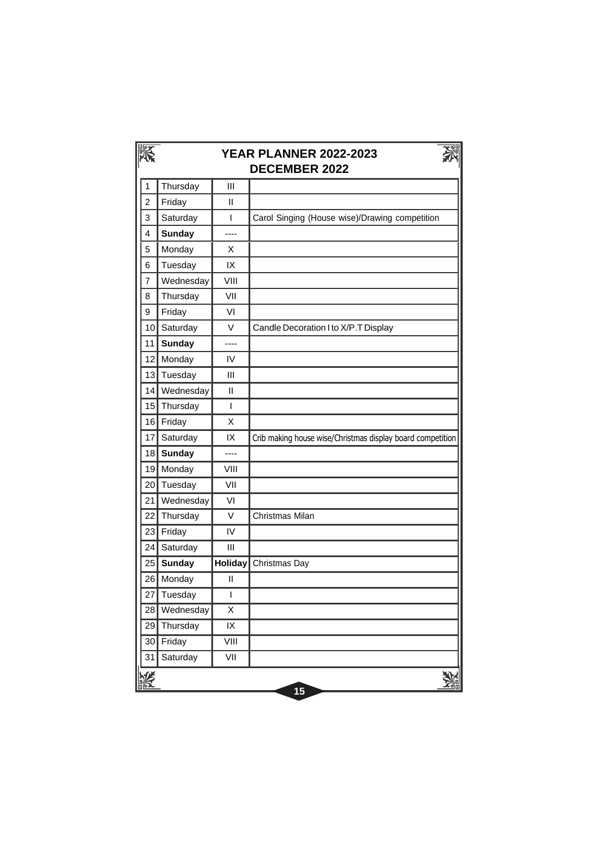|                | <b>YEAR PLANNER 2022-2023</b><br><b>DECEMBER 2022</b> |         |                                                            |  |  |
|----------------|-------------------------------------------------------|---------|------------------------------------------------------------|--|--|
| 1              | Thursday                                              | Ш       |                                                            |  |  |
| $\overline{2}$ | Friday                                                | Ш       |                                                            |  |  |
| 3              | Saturday                                              | T       | Carol Singing (House wise)/Drawing competition             |  |  |
| 4              | <b>Sunday</b>                                         | ----    |                                                            |  |  |
| 5              | Monday                                                | X       |                                                            |  |  |
| 6              | Tuesday                                               | IX      |                                                            |  |  |
| 7              | Wednesday                                             | VIII    |                                                            |  |  |
| 8              | Thursday                                              | VII     |                                                            |  |  |
| 9              | Friday                                                | VI      |                                                            |  |  |
| 10             | Saturday                                              | V       | Candle Decoration I to X/P.T Display                       |  |  |
| 11             | <b>Sunday</b>                                         | ----    |                                                            |  |  |
| 12             | Monday                                                | IV      |                                                            |  |  |
| 13             | Tuesday                                               | Ш       |                                                            |  |  |
| 14             | Wednesday                                             | Ш       |                                                            |  |  |
| 15             | Thursday                                              | T       |                                                            |  |  |
| 16             | Friday                                                | X       |                                                            |  |  |
| 17             | Saturday                                              | IX      | Crib making house wise/Christmas display board competition |  |  |
| 18             | <b>Sunday</b>                                         | ----    |                                                            |  |  |
| 19             | Monday                                                | VIII    |                                                            |  |  |
| 20             | Tuesday                                               | VII     |                                                            |  |  |
| 21             | Wednesday                                             | VI      |                                                            |  |  |
| 22             | Thursday                                              | V       | Christmas Milan                                            |  |  |
| 23             | Friday                                                | IV      |                                                            |  |  |
| 24             | Saturday                                              | Ш       |                                                            |  |  |
| 25             | <b>Sunday</b>                                         | Holiday | Christmas Day                                              |  |  |
| 26             | Monday                                                | Ш       |                                                            |  |  |
| 27             | Tuesday                                               | I       |                                                            |  |  |
| 28             | Wednesday                                             | X       |                                                            |  |  |
| 29             | Thursday                                              | IX      |                                                            |  |  |
| 30             | Friday                                                | VIII    |                                                            |  |  |
| 31             | Saturday                                              | VII     |                                                            |  |  |
|                |                                                       |         | 15                                                         |  |  |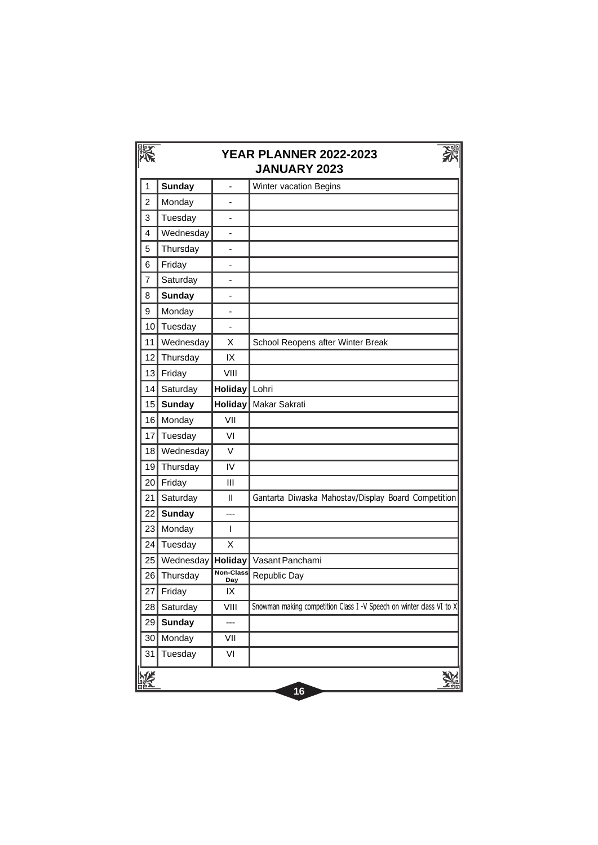|                | <b>YEAR PLANNER 2022-2023</b><br><b>JANUARY 2023</b> |                          |                                                                      |  |  |
|----------------|------------------------------------------------------|--------------------------|----------------------------------------------------------------------|--|--|
| 1              | <b>Sunday</b>                                        | $\overline{a}$           | Winter vacation Begins                                               |  |  |
| $\overline{2}$ | Monday                                               | $\overline{a}$           |                                                                      |  |  |
| 3              | Tuesday                                              |                          |                                                                      |  |  |
| 4              | Wednesday                                            | $\overline{\phantom{0}}$ |                                                                      |  |  |
| 5              | Thursday                                             | $\overline{\phantom{0}}$ |                                                                      |  |  |
| 6              | Friday                                               |                          |                                                                      |  |  |
| $\overline{7}$ | Saturday                                             | $\overline{\phantom{0}}$ |                                                                      |  |  |
| 8              | <b>Sunday</b>                                        |                          |                                                                      |  |  |
| 9              | Monday                                               | ÷                        |                                                                      |  |  |
| 10             | Tuesday                                              | ÷                        |                                                                      |  |  |
| 11             | Wednesday                                            | X                        | School Reopens after Winter Break                                    |  |  |
| 12             | Thursday                                             | IX                       |                                                                      |  |  |
| 13             | Friday                                               | VIII                     |                                                                      |  |  |
| 14             | Saturday                                             | Holiday                  | Lohri                                                                |  |  |
| 15             | <b>Sunday</b>                                        | <b>Holiday</b>           | Makar Sakrati                                                        |  |  |
| 16             | Monday                                               | VII                      |                                                                      |  |  |
| 17             | Tuesday                                              | VI                       |                                                                      |  |  |
| 18             | Wednesday                                            | $\vee$                   |                                                                      |  |  |
| 19             | Thursday                                             | IV                       |                                                                      |  |  |
| 20             | Friday                                               | Ш                        |                                                                      |  |  |
| 21             | Saturday                                             | $\mathbf{I}$             | Gantarta Diwaska Mahostav/Display Board Competition                  |  |  |
| 22             | <b>Sunday</b>                                        | ---                      |                                                                      |  |  |
| 23             | Monday                                               | T                        |                                                                      |  |  |
| 24             | Tuesday                                              | Χ                        |                                                                      |  |  |
| 25             | Wednesday                                            | Holiday                  | Vasant Panchami                                                      |  |  |
| 26             | Thursday                                             | Non-Class<br><b>Day</b>  | Republic Day                                                         |  |  |
| 27             | Friday                                               | IX                       |                                                                      |  |  |
| 28             | Saturday                                             | VIII                     | Snowman making competition Class I -V Speech on winter class VI to X |  |  |
| 29             | <b>Sunday</b>                                        | ---                      |                                                                      |  |  |
| 30             | Monday                                               | VII                      |                                                                      |  |  |
| 31             | Tuesday                                              | VI                       |                                                                      |  |  |
|                |                                                      |                          | 16                                                                   |  |  |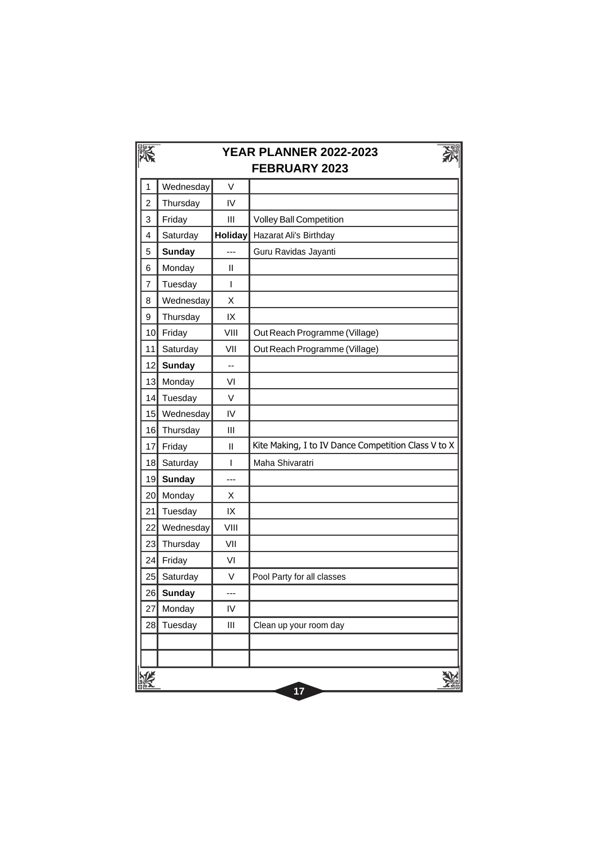|                         | <b>YEAR PLANNER 2022-2023</b><br><b>FEBRUARY 2023</b> |                          |                                                     |  |  |
|-------------------------|-------------------------------------------------------|--------------------------|-----------------------------------------------------|--|--|
| 1                       | Wednesday                                             | $\vee$                   |                                                     |  |  |
| $\overline{\mathbf{c}}$ | Thursday                                              | IV                       |                                                     |  |  |
| 3                       | Friday                                                | III                      | <b>Volley Ball Competition</b>                      |  |  |
| 4                       | Saturday                                              | <b>Holiday</b>           | Hazarat Ali's Birthday                              |  |  |
| 5                       | <b>Sunday</b>                                         | ---                      | Guru Ravidas Jayanti                                |  |  |
| 6                       | Monday                                                | $\mathbf{I}$             |                                                     |  |  |
| 7                       | Tuesday                                               | ı                        |                                                     |  |  |
| 8                       | Wednesday                                             | X                        |                                                     |  |  |
| 9                       | Thursday                                              | IX                       |                                                     |  |  |
| 10                      | Friday                                                | VIII                     | Out Reach Programme (Village)                       |  |  |
| 11                      | Saturday                                              | VII                      | Out Reach Programme (Village)                       |  |  |
| 12                      | <b>Sunday</b>                                         | $\overline{\phantom{a}}$ |                                                     |  |  |
| 13                      | Monday                                                | VI                       |                                                     |  |  |
| 14                      | Tuesday                                               | $\vee$                   |                                                     |  |  |
| 15                      | Wednesday                                             | IV                       |                                                     |  |  |
| 16                      | Thursday                                              | III                      |                                                     |  |  |
| 17                      | Friday                                                | Ш                        | Kite Making, I to IV Dance Competition Class V to X |  |  |
| 18                      | Saturday                                              | L                        | Maha Shivaratri                                     |  |  |
| 19                      | <b>Sunday</b>                                         | ---                      |                                                     |  |  |
| 20                      | Monday                                                | X                        |                                                     |  |  |
| 21                      | Tuesday                                               | IX                       |                                                     |  |  |
| 22                      | Wednesday                                             | VIII                     |                                                     |  |  |
| 23                      | Thursday                                              | VII                      |                                                     |  |  |
| 24                      | Friday                                                | VI                       |                                                     |  |  |
| 25                      | Saturday                                              | V                        | Pool Party for all classes                          |  |  |
| 26                      | <b>Sunday</b>                                         | ---                      |                                                     |  |  |
| 27                      | Monday                                                | IV                       |                                                     |  |  |
| 28                      | Tuesday                                               | Ш                        | Clean up your room day                              |  |  |
|                         |                                                       |                          |                                                     |  |  |
|                         |                                                       |                          |                                                     |  |  |
|                         |                                                       |                          | 17                                                  |  |  |